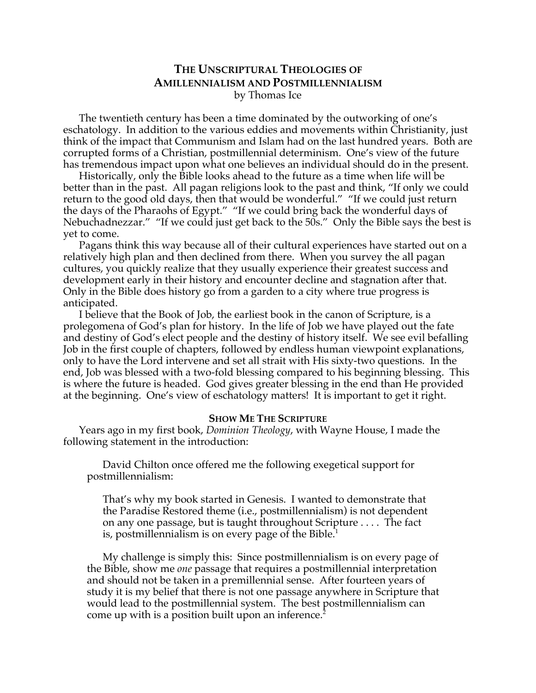# **THE UNSCRIPTURAL THEOLOGIES OF AMILLENNIALISM AND POSTMILLENNIALISM** by Thomas Ice

The twentieth century has been a time dominated by the outworking of one's eschatology. In addition to the various eddies and movements within Christianity, just think of the impact that Communism and Islam had on the last hundred years. Both are corrupted forms of a Christian, postmillennial determinism. One's view of the future has tremendous impact upon what one believes an individual should do in the present.

Historically, only the Bible looks ahead to the future as a time when life will be better than in the past. All pagan religions look to the past and think, "If only we could return to the good old days, then that would be wonderful." "If we could just return the days of the Pharaohs of Egypt." "If we could bring back the wonderful days of Nebuchadnezzar." "If we could just get back to the 50s." Only the Bible says the best is yet to come.

Pagans think this way because all of their cultural experiences have started out on a relatively high plan and then declined from there. When you survey the all pagan cultures, you quickly realize that they usually experience their greatest success and development early in their history and encounter decline and stagnation after that. Only in the Bible does history go from a garden to a city where true progress is anticipated.

I believe that the Book of Job, the earliest book in the canon of Scripture, is a prolegomena of God's plan for history. In the life of Job we have played out the fate and destiny of God's elect people and the destiny of history itself. We see evil befalling Job in the first couple of chapters, followed by endless human viewpoint explanations, only to have the Lord intervene and set all strait with His sixty-two questions. In the end, Job was blessed with a two-fold blessing compared to his beginning blessing. This is where the future is headed. God gives greater blessing in the end than He provided at the beginning. One's view of eschatology matters! It is important to get it right.

#### **SHOW ME THE SCRIPTURE**

Years ago in my first book, *Dominion Theology*, with Wayne House, I made the following statement in the introduction:

David Chilton once offered me the following exegetical support for postmillennialism:

That's why my book started in Genesis. I wanted to demonstrate that the Paradise Restored theme (i.e., postmillennialism) is not dependent on any one passage, but is taught throughout Scripture . . . . The fact is, postmillennialism is on every page of the Bible.<sup>1</sup>

My challenge is simply this: Since postmillennialism is on every page of the Bible, show me *one* passage that requires a postmillennial interpretation and should not be taken in a premillennial sense. After fourteen years of study it is my belief that there is not one passage anywhere in Scripture that would lead to the postmillennial system. The best postmillennialism can come up with is a position built upon an inference.<sup>2</sup>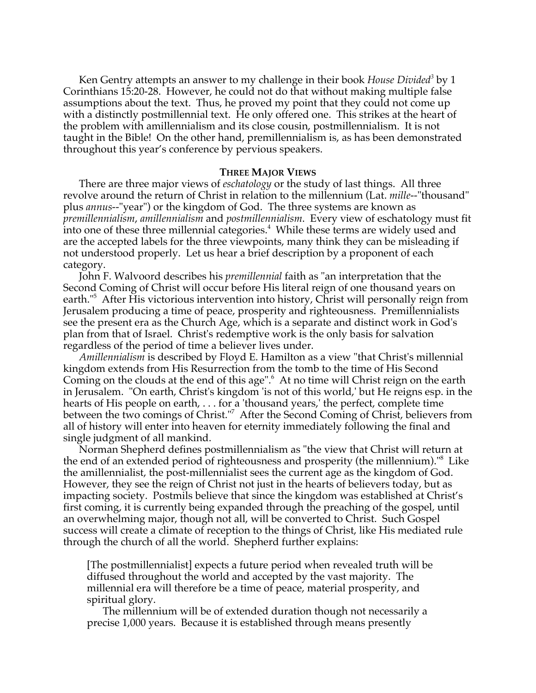Ken Gentry attempts an answer to my challenge in their book *House Divided*<sup>3</sup> by 1 Corinthians 15:20-28. However, he could not do that without making multiple false assumptions about the text. Thus, he proved my point that they could not come up with a distinctly postmillennial text. He only offered one. This strikes at the heart of the problem with amillennialism and its close cousin, postmillennialism. It is not taught in the Bible! On the other hand, premillennialism is, as has been demonstrated throughout this year's conference by pervious speakers.

### **THREE MAJOR VIEWS**

There are three major views of *eschatology* or the study of last things. All three revolve around the return of Christ in relation to the millennium (Lat. *mille*--"thousand" plus *annus*--"year") or the kingdom of God. The three systems are known as *premillennialism*, *amillennialism* and *postmillennialism*. Every view of eschatology must fit into one of these three millennial categories. $4$  While these terms are widely used and are the accepted labels for the three viewpoints, many think they can be misleading if not understood properly. Let us hear a brief description by a proponent of each category.

John F. Walvoord describes his *premillennial* faith as "an interpretation that the Second Coming of Christ will occur before His literal reign of one thousand years on earth."5 After His victorious intervention into history, Christ will personally reign from Jerusalem producing a time of peace, prosperity and righteousness. Premillennialists see the present era as the Church Age, which is a separate and distinct work in God's plan from that of Israel. Christ's redemptive work is the only basis for salvation regardless of the period of time a believer lives under.

*Amillennialism* is described by Floyd E. Hamilton as a view "that Christ's millennial kingdom extends from His Resurrection from the tomb to the time of His Second Coming on the clouds at the end of this age".<sup>6</sup> At no time will Christ reign on the earth in Jerusalem. "On earth, Christ's kingdom 'is not of this world,' but He reigns esp. in the hearts of His people on earth, . . . for a 'thousand years,' the perfect, complete time between the two comings of Christ."7 After the Second Coming of Christ, believers from all of history will enter into heaven for eternity immediately following the final and single judgment of all mankind.

Norman Shepherd defines postmillennialism as "the view that Christ will return at the end of an extended period of righteousness and prosperity (the millennium)."<sup>8</sup> Like the amillennialist, the post-millennialist sees the current age as the kingdom of God. However, they see the reign of Christ not just in the hearts of believers today, but as impacting society. Postmils believe that since the kingdom was established at Christ's first coming, it is currently being expanded through the preaching of the gospel, until an overwhelming major, though not all, will be converted to Christ. Such Gospel success will create a climate of reception to the things of Christ, like His mediated rule through the church of all the world. Shepherd further explains:

[The postmillennialist] expects a future period when revealed truth will be diffused throughout the world and accepted by the vast majority. The millennial era will therefore be a time of peace, material prosperity, and spiritual glory.

The millennium will be of extended duration though not necessarily a precise 1,000 years. Because it is established through means presently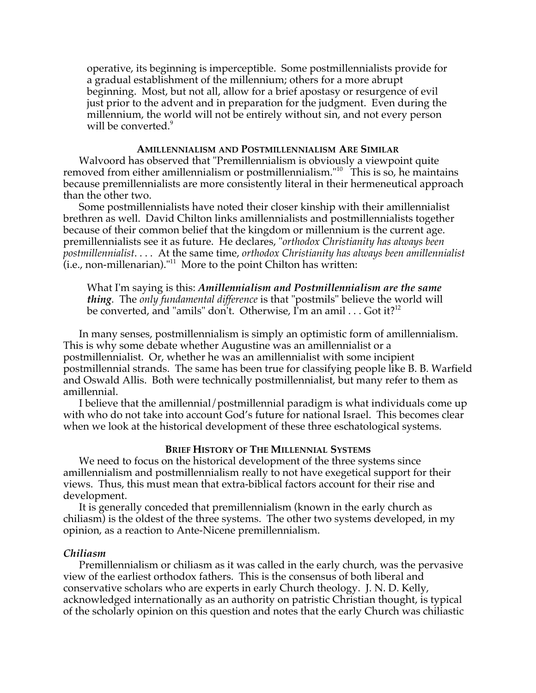operative, its beginning is imperceptible. Some postmillennialists provide for a gradual establishment of the millennium; others for a more abrupt beginning. Most, but not all, allow for a brief apostasy or resurgence of evil just prior to the advent and in preparation for the judgment. Even during the millennium, the world will not be entirely without sin, and not every person will be converted.<sup>9</sup>

### **AMILLENNIALISM AND POSTMILLENNIALISM ARE SIMILAR**

Walvoord has observed that "Premillennialism is obviously a viewpoint quite removed from either amillennialism or postmillennialism."<sup>10</sup> This is so, he maintains because premillennialists are more consistently literal in their hermeneutical approach than the other two.

Some postmillennialists have noted their closer kinship with their amillennialist brethren as well. David Chilton links amillennialists and postmillennialists together because of their common belief that the kingdom or millennium is the current age. premillennialists see it as future. He declares, "*orthodox Christianity has always been postmillennialist*. . . . At the same time, *orthodox Christianity has always been amillennialist*  $(i.e.,$  non-millenarian)." $^{11}$  More to the point Chilton has written:

What I'm saying is this: *Amillennialism and Postmillennialism are the same thing*. The *only fundamental difference* is that "postmils" believe the world will be converted, and "amils" don't. Otherwise, I'm an amil . . . Got it?<sup>12</sup>

In many senses, postmillennialism is simply an optimistic form of amillennialism. This is why some debate whether Augustine was an amillennialist or a postmillennialist. Or, whether he was an amillennialist with some incipient postmillennial strands. The same has been true for classifying people like B. B. Warfield and Oswald Allis. Both were technically postmillennialist, but many refer to them as amillennial.

I believe that the amillennial/postmillennial paradigm is what individuals come up with who do not take into account God's future for national Israel. This becomes clear when we look at the historical development of these three eschatological systems.

### **BRIEF HISTORY OF THE MILLENNIAL SYSTEMS**

We need to focus on the historical development of the three systems since amillennialism and postmillennialism really to not have exegetical support for their views. Thus, this must mean that extra-biblical factors account for their rise and development.

It is generally conceded that premillennialism (known in the early church as chiliasm) is the oldest of the three systems. The other two systems developed, in my opinion, as a reaction to Ante-Nicene premillennialism.

# *Chiliasm*

Premillennialism or chiliasm as it was called in the early church, was the pervasive view of the earliest orthodox fathers. This is the consensus of both liberal and conservative scholars who are experts in early Church theology. J. N. D. Kelly, acknowledged internationally as an authority on patristic Christian thought, is typical of the scholarly opinion on this question and notes that the early Church was chiliastic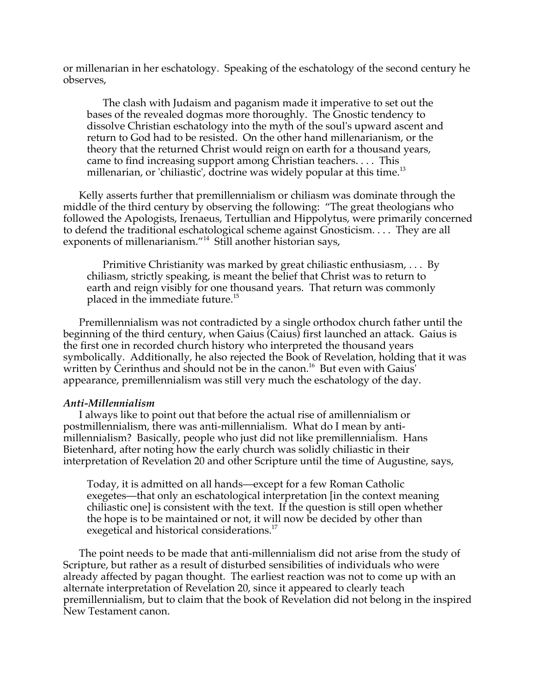or millenarian in her eschatology. Speaking of the eschatology of the second century he observes,

The clash with Judaism and paganism made it imperative to set out the bases of the revealed dogmas more thoroughly. The Gnostic tendency to dissolve Christian eschatology into the myth of the soul's upward ascent and return to God had to be resisted. On the other hand millenarianism, or the theory that the returned Christ would reign on earth for a thousand years, came to find increasing support among Christian teachers. . . . This millenarian, or 'chiliastic', doctrine was widely popular at this time.<sup>13</sup>

Kelly asserts further that premillennialism or chiliasm was dominate through the middle of the third century by observing the following: "The great theologians who followed the Apologists, Irenaeus, Tertullian and Hippolytus, were primarily concerned to defend the traditional eschatological scheme against Gnosticism. . . . They are all exponents of millenarianism."<sup>14</sup> Still another historian says,

Primitive Christianity was marked by great chiliastic enthusiasm, . . . By chiliasm, strictly speaking, is meant the belief that Christ was to return to earth and reign visibly for one thousand years. That return was commonly placed in the immediate future.<sup>15</sup>

Premillennialism was not contradicted by a single orthodox church father until the beginning of the third century, when Gaius (Caius) first launched an attack. Gaius is the first one in recorded church history who interpreted the thousand years symbolically. Additionally, he also rejected the Book of Revelation, holding that it was written by Cerinthus and should not be in the canon.<sup>16</sup> But even with Gaius appearance, premillennialism was still very much the eschatology of the day.

# *Anti-Millennialism*

I always like to point out that before the actual rise of amillennialism or postmillennialism, there was anti-millennialism. What do I mean by antimillennialism? Basically, people who just did not like premillennialism. Hans Bietenhard, after noting how the early church was solidly chiliastic in their interpretation of Revelation 20 and other Scripture until the time of Augustine, says,

Today, it is admitted on all hands—except for a few Roman Catholic exegetes—that only an eschatological interpretation [in the context meaning chiliastic one] is consistent with the text. If the question is still open whether the hope is to be maintained or not, it will now be decided by other than exegetical and historical considerations.<sup>17</sup>

The point needs to be made that anti-millennialism did not arise from the study of Scripture, but rather as a result of disturbed sensibilities of individuals who were already affected by pagan thought. The earliest reaction was not to come up with an alternate interpretation of Revelation 20, since it appeared to clearly teach premillennialism, but to claim that the book of Revelation did not belong in the inspired New Testament canon.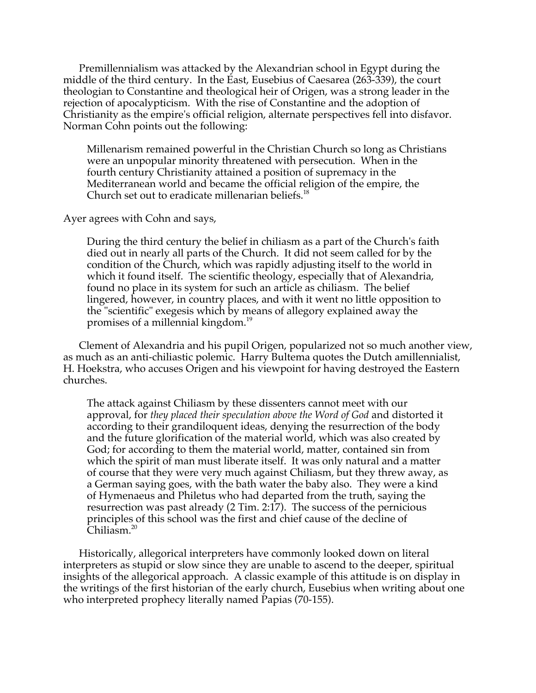Premillennialism was attacked by the Alexandrian school in Egypt during the middle of the third century. In the East, Eusebius of Caesarea (263-339), the court theologian to Constantine and theological heir of Origen, was a strong leader in the rejection of apocalypticism. With the rise of Constantine and the adoption of Christianity as the empire's official religion, alternate perspectives fell into disfavor. Norman Cohn points out the following:

Millenarism remained powerful in the Christian Church so long as Christians were an unpopular minority threatened with persecution. When in the fourth century Christianity attained a position of supremacy in the Mediterranean world and became the official religion of the empire, the Church set out to eradicate millenarian beliefs.<sup>18</sup>

Ayer agrees with Cohn and says,

During the third century the belief in chiliasm as a part of the Church's faith died out in nearly all parts of the Church. It did not seem called for by the condition of the Church, which was rapidly adjusting itself to the world in which it found itself. The scientific theology, especially that of Alexandria, found no place in its system for such an article as chiliasm. The belief lingered, however, in country places, and with it went no little opposition to the "scientific" exegesis which by means of allegory explained away the promises of a millennial kingdom.<sup>19</sup>

Clement of Alexandria and his pupil Origen, popularized not so much another view, as much as an anti-chiliastic polemic. Harry Bultema quotes the Dutch amillennialist, H. Hoekstra, who accuses Origen and his viewpoint for having destroyed the Eastern churches.

The attack against Chiliasm by these dissenters cannot meet with our approval, for *they placed their speculation above the Word of God* and distorted it according to their grandiloquent ideas, denying the resurrection of the body and the future glorification of the material world, which was also created by God; for according to them the material world, matter, contained sin from which the spirit of man must liberate itself. It was only natural and a matter of course that they were very much against Chiliasm, but they threw away, as a German saying goes, with the bath water the baby also. They were a kind of Hymenaeus and Philetus who had departed from the truth, saying the resurrection was past already (2 Tim. 2:17). The success of the pernicious principles of this school was the first and chief cause of the decline of Chiliasm.<sup>20</sup>

Historically, allegorical interpreters have commonly looked down on literal interpreters as stupid or slow since they are unable to ascend to the deeper, spiritual insights of the allegorical approach. A classic example of this attitude is on display in the writings of the first historian of the early church, Eusebius when writing about one who interpreted prophecy literally named Papias (70-155).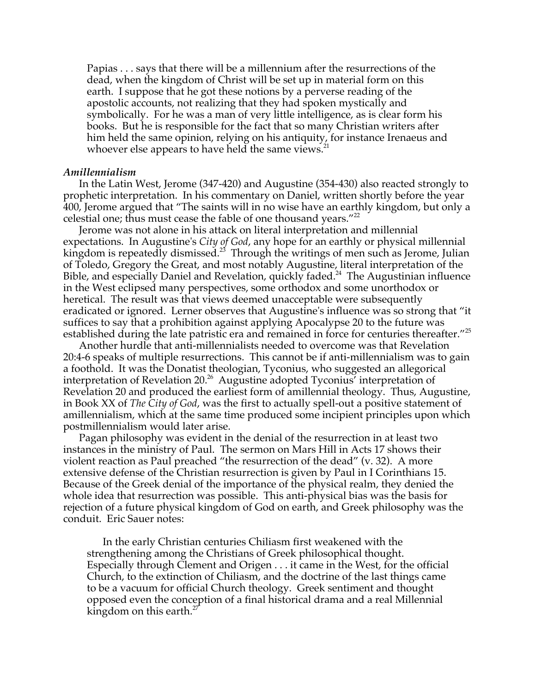Papias . . . says that there will be a millennium after the resurrections of the dead, when the kingdom of Christ will be set up in material form on this earth. I suppose that he got these notions by a perverse reading of the apostolic accounts, not realizing that they had spoken mystically and symbolically. For he was a man of very little intelligence, as is clear form his books. But he is responsible for the fact that so many Christian writers after him held the same opinion, relying on his antiquity, for instance Irenaeus and whoever else appears to have held the same views.<sup>21</sup>

### *Amillennialism*

In the Latin West, Jerome (347-420) and Augustine (354-430) also reacted strongly to prophetic interpretation. In his commentary on Daniel, written shortly before the year 400, Jerome argued that "The saints will in no wise have an earthly kingdom, but only a celestial one; thus must cease the fable of one thousand years."<sup>22</sup>

Jerome was not alone in his attack on literal interpretation and millennial expectations. In Augustine's *City of God*, any hope for an earthly or physical millennial kingdom is repeatedly dismissed.<sup>23</sup> Through the writings of men such as Jerome, Julian of Toledo, Gregory the Great, and most notably Augustine, literal interpretation of the Bible, and especially Daniel and Revelation, quickly faded.<sup>24</sup> The Augustinian influence in the West eclipsed many perspectives, some orthodox and some unorthodox or heretical. The result was that views deemed unacceptable were subsequently eradicated or ignored. Lerner observes that Augustine's influence was so strong that "it suffices to say that a prohibition against applying Apocalypse 20 to the future was established during the late patristic era and remained in force for centuries thereafter."<sup>25</sup>

Another hurdle that anti-millennialists needed to overcome was that Revelation 20:4-6 speaks of multiple resurrections. This cannot be if anti-millennialism was to gain a foothold. It was the Donatist theologian, Tyconius, who suggested an allegorical interpretation of Revelation 20.<sup>26</sup> Augustine adopted Tyconius' interpretation of Revelation 20 and produced the earliest form of amillennial theology. Thus, Augustine, in Book XX of *The City of God*, was the first to actually spell-out a positive statement of amillennialism, which at the same time produced some incipient principles upon which postmillennialism would later arise.

Pagan philosophy was evident in the denial of the resurrection in at least two instances in the ministry of Paul. The sermon on Mars Hill in Acts 17 shows their violent reaction as Paul preached "the resurrection of the dead" (v. 32). A more extensive defense of the Christian resurrection is given by Paul in I Corinthians 15. Because of the Greek denial of the importance of the physical realm, they denied the whole idea that resurrection was possible. This anti-physical bias was the basis for rejection of a future physical kingdom of God on earth, and Greek philosophy was the conduit. Eric Sauer notes:

In the early Christian centuries Chiliasm first weakened with the strengthening among the Christians of Greek philosophical thought. Especially through Clement and Origen . . . it came in the West, for the official Church, to the extinction of Chiliasm, and the doctrine of the last things came to be a vacuum for official Church theology. Greek sentiment and thought opposed even the conception of a final historical drama and a real Millennial kingdom on this earth.<sup>27</sup>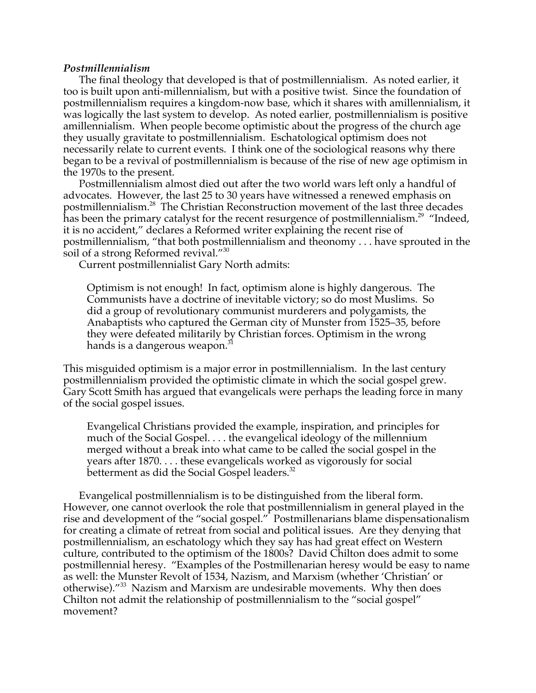# *Postmillennialism*

The final theology that developed is that of postmillennialism. As noted earlier, it too is built upon anti-millennialism, but with a positive twist. Since the foundation of postmillennialism requires a kingdom-now base, which it shares with amillennialism, it was logically the last system to develop. As noted earlier, postmillennialism is positive amillennialism. When people become optimistic about the progress of the church age they usually gravitate to postmillennialism. Eschatological optimism does not necessarily relate to current events. I think one of the sociological reasons why there began to be a revival of postmillennialism is because of the rise of new age optimism in the 1970s to the present.

Postmillennialism almost died out after the two world wars left only a handful of advocates. However, the last 25 to 30 years have witnessed a renewed emphasis on postmillennialism.<sup>28</sup> The Christian Reconstruction movement of the last three decades  $\rm{\hat{n}}$ as been the primary catalyst for the recent resurgence of postmillennialism. $^{29}$  "Indeed, it is no accident," declares a Reformed writer explaining the recent rise of postmillennialism, "that both postmillennialism and theonomy . . . have sprouted in the soil of a strong Reformed revival."<sup>30</sup>

Current postmillennialist Gary North admits:

Optimism is not enough! In fact, optimism alone is highly dangerous. The Communists have a doctrine of inevitable victory; so do most Muslims. So did a group of revolutionary communist murderers and polygamists, the Anabaptists who captured the German city of Munster from 1525–35, before they were defeated militarily by Christian forces. Optimism in the wrong hands is a dangerous weapon.<sup>31</sup>

This misguided optimism is a major error in postmillennialism. In the last century postmillennialism provided the optimistic climate in which the social gospel grew. Gary Scott Smith has argued that evangelicals were perhaps the leading force in many of the social gospel issues.

Evangelical Christians provided the example, inspiration, and principles for much of the Social Gospel. . . . the evangelical ideology of the millennium merged without a break into what came to be called the social gospel in the years after 1870. . . . these evangelicals worked as vigorously for social betterment as did the Social Gospel leaders.<sup>32</sup>

Evangelical postmillennialism is to be distinguished from the liberal form. However, one cannot overlook the role that postmillennialism in general played in the rise and development of the "social gospel." Postmillenarians blame dispensationalism for creating a climate of retreat from social and political issues. Are they denying that postmillennialism, an eschatology which they say has had great effect on Western culture, contributed to the optimism of the 1800s? David Chilton does admit to some postmillennial heresy. "Examples of the Postmillenarian heresy would be easy to name as well: the Munster Revolt of 1534, Nazism, and Marxism (whether 'Christian' or otherwise)."<sup>33</sup> Nazism and Marxism are undesirable movements. Why then does Chilton not admit the relationship of postmillennialism to the "social gospel" movement?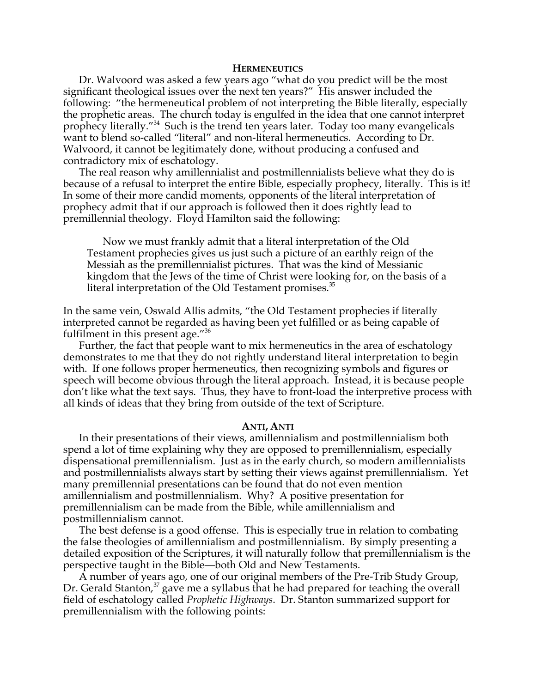#### **HERMENEUTICS**

Dr. Walvoord was asked a few years ago "what do you predict will be the most significant theological issues over the next ten years?" His answer included the following: "the hermeneutical problem of not interpreting the Bible literally, especially the prophetic areas. The church today is engulfed in the idea that one cannot interpret prophecy literally."34 Such is the trend ten years later. Today too many evangelicals want to blend so-called "literal" and non-literal hermeneutics. According to Dr. Walvoord, it cannot be legitimately done, without producing a confused and contradictory mix of eschatology.

The real reason why amillennialist and postmillennialists believe what they do is because of a refusal to interpret the entire Bible, especially prophecy, literally. This is it! In some of their more candid moments, opponents of the literal interpretation of prophecy admit that if our approach is followed then it does rightly lead to premillennial theology. Floyd Hamilton said the following:

Now we must frankly admit that a literal interpretation of the Old Testament prophecies gives us just such a picture of an earthly reign of the Messiah as the premillennialist pictures. That was the kind of Messianic kingdom that the Jews of the time of Christ were looking for, on the basis of a literal interpretation of the Old Testament promises. $35$ 

In the same vein, Oswald Allis admits, "the Old Testament prophecies if literally interpreted cannot be regarded as having been yet fulfilled or as being capable of fulfilment in this present age."<sup>36</sup>

Further, the fact that people want to mix hermeneutics in the area of eschatology demonstrates to me that they do not rightly understand literal interpretation to begin with. If one follows proper hermeneutics, then recognizing symbols and figures or speech will become obvious through the literal approach. Instead, it is because people don't like what the text says. Thus, they have to front-load the interpretive process with all kinds of ideas that they bring from outside of the text of Scripture.

#### **ANTI, ANTI**

In their presentations of their views, amillennialism and postmillennialism both spend a lot of time explaining why they are opposed to premillennialism, especially dispensational premillennialism. Just as in the early church, so modern amillennialists and postmillennialists always start by setting their views against premillennialism. Yet many premillennial presentations can be found that do not even mention amillennialism and postmillennialism. Why? A positive presentation for premillennialism can be made from the Bible, while amillennialism and postmillennialism cannot.

The best defense is a good offense. This is especially true in relation to combating the false theologies of amillennialism and postmillennialism. By simply presenting a detailed exposition of the Scriptures, it will naturally follow that premillennialism is the perspective taught in the Bible—both Old and New Testaments.

A number of years ago, one of our original members of the Pre-Trib Study Group, Dr. Gerald Stanton, $37$  gave me a syllabus that he had prepared for teaching the overall field of eschatology called *Prophetic Highways*. Dr. Stanton summarized support for premillennialism with the following points: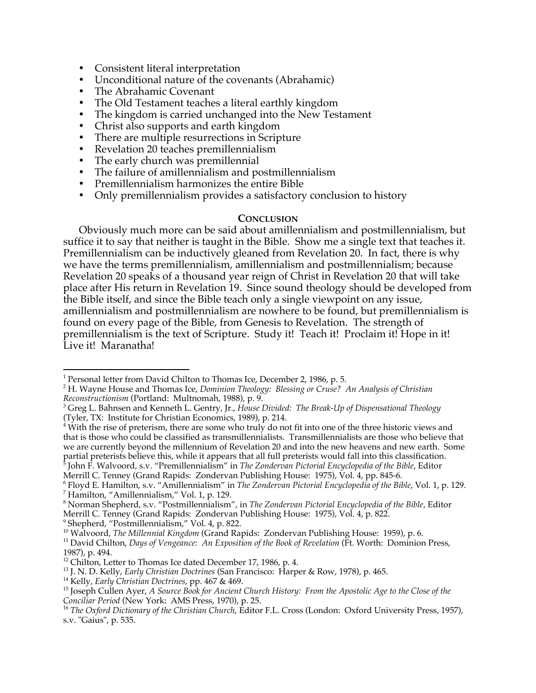- Consistent literal interpretation
- Unconditional nature of the covenants (Abrahamic)
- The Abrahamic Covenant
- The Old Testament teaches a literal earthly kingdom
- The kingdom is carried unchanged into the New Testament<br>• Christ also supports and earth kingdom
- Christ also supports and earth kingdom
- There are multiple resurrections in Scripture
- Revelation 20 teaches premillennialism
- The early church was premillennial
- The failure of amillennialism and postmillennialism
- Premillennialism harmonizes the entire Bible
- Only premillennialism provides a satisfactory conclusion to history

# **CONCLUSION**

Obviously much more can be said about amillennialism and postmillennialism, but suffice it to say that neither is taught in the Bible. Show me a single text that teaches it. Premillennialism can be inductively gleaned from Revelation 20. In fact, there is why we have the terms premillennialism, amillennialism and postmillennialism; because Revelation 20 speaks of a thousand year reign of Christ in Revelation 20 that will take place after His return in Revelation 19. Since sound theology should be developed from the Bible itself, and since the Bible teach only a single viewpoint on any issue, amillennialism and postmillennialism are nowhere to be found, but premillennialism is found on every page of the Bible, from Genesis to Revelation. The strength of premillennialism is the text of Scripture. Study it! Teach it! Proclaim it! Hope in it! Live it! Maranatha!

Merrill C. Tenney (Grand Rapids: Zondervan Publishing House: 1975), Vol. 4, pp. 845-6.

8 Norman Shepherd, s.v. "Postmillennialism", in *The Zondervan Pictorial Encyclopedia of the Bible*, Editor Merrill C. Tenney (Grand Rapids: Zondervan Publishing House: 1975), Vol. 4, p. 822.

 $\frac{1}{1}$ <sup>1</sup> Personal letter from David Chilton to Thomas Ice, December 2, 1986, p. 5.

<sup>2</sup> H. Wayne House and Thomas Ice, *Dominion Theology: Blessing or Cruse? An Analysis of Christian Reconstructionism* (Portland: Multnomah, 1988), p. 9.

Greg L. Bahnsen and Kenneth L. Gentry, Jr., *House Divided: The Break-Up of Dispensational Theology*

<sup>(</sup>Tyler, TX: Institute for Christian Economics, 1989), p. 214.<br><sup>4</sup> With the rise of preterism, there are some who truly do not fit into one of the three historic views and that is those who could be classified as transmillennialists. Transmillennialists are those who believe that we are currently beyond the millennium of Revelation 20 and into the new heavens and new earth. Some partial preterists believe this, while it appears that all full preterists would fall into this classification. 5 John F. Walvoord, s.v. "Premillennialism" in *The Zondervan Pictorial Encyclopedia of the Bible*, Editor

<sup>&</sup>lt;sup>6</sup> Floyd E. Hamilton, s.v. "Amillennialism" in *The Zondervan Pictorial Encyclopedia of the Bible,* Vol. 1, p. 129.<br><sup>7</sup> Hamilton, "Amillennialism " Vol. 1, p. 129.  $^7$  Hamilton, "Amillennialism," Vol. 1, p. 129.

<sup>9</sup> Shepherd, "Postmillennialism," Vol. 4, p. 822.

<sup>&</sup>lt;sup>10</sup> Walvoord, *The Millennial Kingdom* (Grand Rapids: Zondervan Publishing House: 1959), p. 6.<br><sup>11</sup> David Chilton, *Days of Vengeauce: An Expection of the Book of Revelation* (Et Worth: Dominion

<sup>&</sup>lt;sup>11</sup> David Chilton, *Days of Vengeance: An Exposition of the Book of Revelation* (Ft. Worth: Dominion Press, 1987), p. 494.

 $12$  Chilton, Letter to Thomas Ice dated December 17, 1986, p. 4.

<sup>&</sup>lt;sup>13</sup> J. N. D. Kelly*, Early Christian Doctrines* (San Francisco: Harper & Row, 1978), p. 465.<br><sup>14</sup> Kolly, *Early Christian Doctrines*, pp. 467.8<del>,</del> 469.

<sup>&</sup>lt;sup>14</sup> Kelly, *Early Christian Doctrines*, pp. 467 & 469.

<sup>&</sup>lt;sup>15</sup> Joseph Cullen Ayer, *A Source Book for Ancient Church History: From the Apostolic Age to the Close of the Conciliar Period (New York: AMS Press, 1970), p. 25.* 

<sup>&</sup>lt;sup>16</sup> *The Oxford Dictionary of the Christian Church*, Editor F.L. Cross (London: Oxford University Press, 1957), s.v. "Gaius", p. 535.